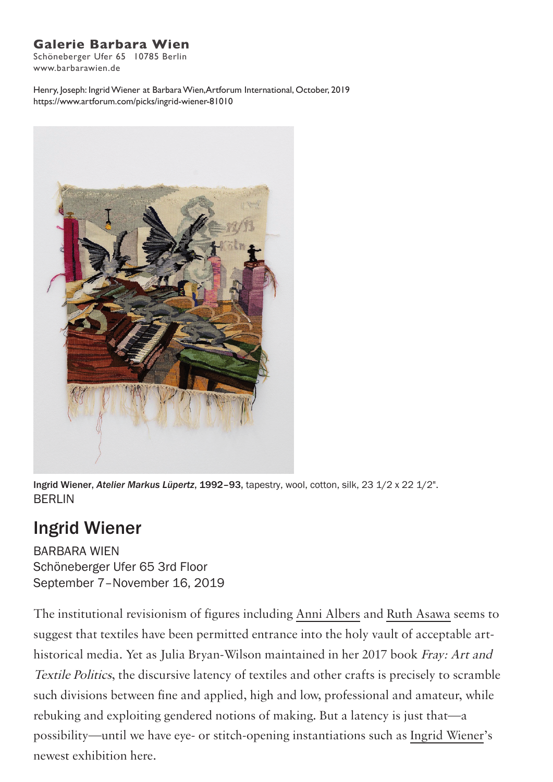## **Galerie Barbara Wien**

Schöneberger Ufer 65 10785 Berlin www.barbarawien.de

Henry, Joseph: Ingrid Wiener at Barbara Wien,Artforum International, October, 2019 https://www.artforum.com/picks/ingrid-wiener-81010



Ingrid Wiener, *Atelier Markus Lüpertz*, 1992–93, tapestry, wool, cotton, silk, 23 1/2 x 22 1/2". BERLIN

## Ingrid Wiener

BARBARA WIEN Schöneberger Ufer 65 3rd Floor September 7–November 16, 2019

The institutional revisionism of figures including Anni Albers and Ruth Asawa seems to suggest that textiles have been permitted entrance into the holy vault of acceptable arthistorical media. Yet as Julia Bryan-Wilson maintained in her 2017 book Fray: Art and Textile Politics, the discursive latency of textiles and other crafts is precisely to scramble such divisions between fine and applied, high and low, professional and amateur, while rebuking and exploiting gendered notions of making. But a latency is just that—a possibility—until we have eye- or stitch-opening instantiations such as Ingrid Wiener's newest exhibition here.